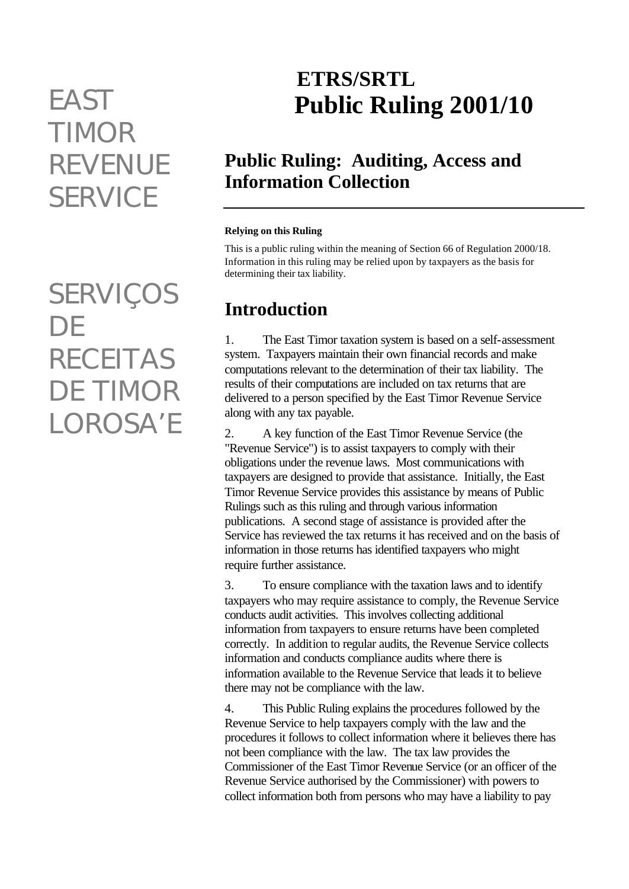# *TIMOR REVENUE SERVICE*

*SERVIÇOS DE RECEITAS DE TIMOR LOROSA'E*

# **ETRS/SRTL** *EAST* **Public Ruling 2001/10**

# **Public Ruling: Auditing, Access and Information Collection**

#### **Relying on this Ruling**

This is a public ruling within the meaning of Section 66 of Regulation 2000/18. Information in this ruling may be relied upon by taxpayers as the basis for determining their tax liability.

# **Introduction**

1. The East Timor taxation system is based on a self-assessment system. Taxpayers maintain their own financial records and make computations relevant to the determination of their tax liability. The results of their computations are included on tax returns that are delivered to a person specified by the East Timor Revenue Service along with any tax payable.

2. A key function of the East Timor Revenue Service (the "Revenue Service") is to assist taxpayers to comply with their obligations under the revenue laws. Most communications with taxpayers are designed to provide that assistance. Initially, the East Timor Revenue Service provides this assistance by means of Public Rulings such as this ruling and through various information publications. A second stage of assistance is provided after the Service has reviewed the tax returns it has received and on the basis of information in those returns has identified taxpayers who might require further assistance.

3. To ensure compliance with the taxation laws and to identify taxpayers who may require assistance to comply, the Revenue Service conducts audit activities. This involves collecting additional information from taxpayers to ensure returns have been completed correctly. In addition to regular audits, the Revenue Service collects information and conducts compliance audits where there is information available to the Revenue Service that leads it to believe there may not be compliance with the law.

4. This Public Ruling explains the procedures followed by the Revenue Service to help taxpayers comply with the law and the procedures it follows to collect information where it believes there has not been compliance with the law. The tax law provides the Commissioner of the East Timor Revenue Service (or an officer of the Revenue Service authorised by the Commissioner) with powers to collect information both from persons who may have a liability to pay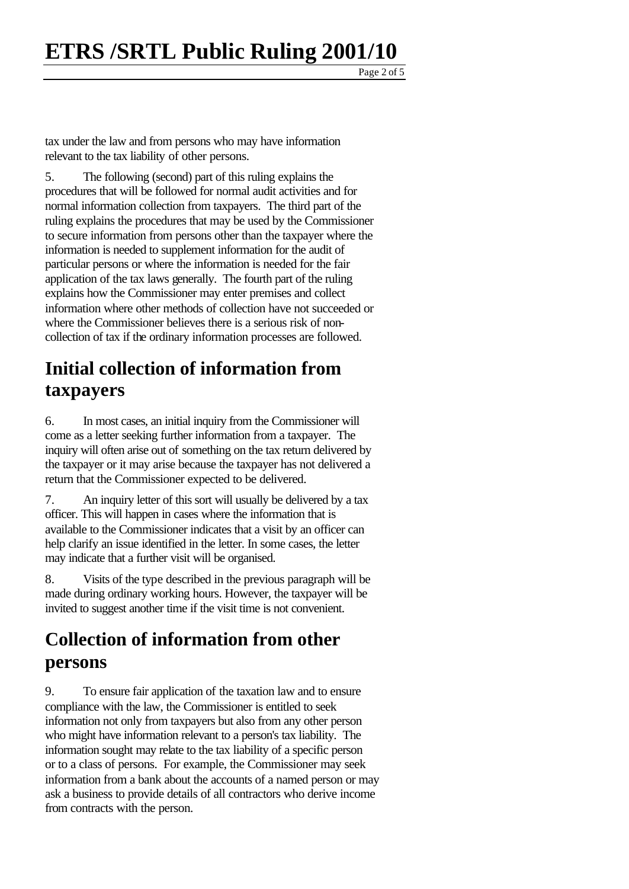Page 2 of 5

tax under the law and from persons who may have information relevant to the tax liability of other persons.

5. The following (second) part of this ruling explains the procedures that will be followed for normal audit activities and for normal information collection from taxpayers. The third part of the ruling explains the procedures that may be used by the Commissioner to secure information from persons other than the taxpayer where the information is needed to supplement information for the audit of particular persons or where the information is needed for the fair application of the tax laws generally. The fourth part of the ruling explains how the Commissioner may enter premises and collect information where other methods of collection have not succeeded or where the Commissioner believes there is a serious risk of noncollection of tax if the ordinary information processes are followed.

# **Initial collection of information from taxpayers**

6. In most cases, an initial inquiry from the Commissioner will come as a letter seeking further information from a taxpayer. The inquiry will often arise out of something on the tax return delivered by the taxpayer or it may arise because the taxpayer has not delivered a return that the Commissioner expected to be delivered.

7. An inquiry letter of this sort will usually be delivered by a tax officer. This will happen in cases where the information that is available to the Commissioner indicates that a visit by an officer can help clarify an issue identified in the letter. In some cases, the letter may indicate that a further visit will be organised.

8. Visits of the type described in the previous paragraph will be made during ordinary working hours. However, the taxpayer will be invited to suggest another time if the visit time is not convenient.

# **Collection of information from other persons**

9. To ensure fair application of the taxation law and to ensure compliance with the law, the Commissioner is entitled to seek information not only from taxpayers but also from any other person who might have information relevant to a person's tax liability. The information sought may relate to the tax liability of a specific person or to a class of persons. For example, the Commissioner may seek information from a bank about the accounts of a named person or may ask a business to provide details of all contractors who derive income from contracts with the person.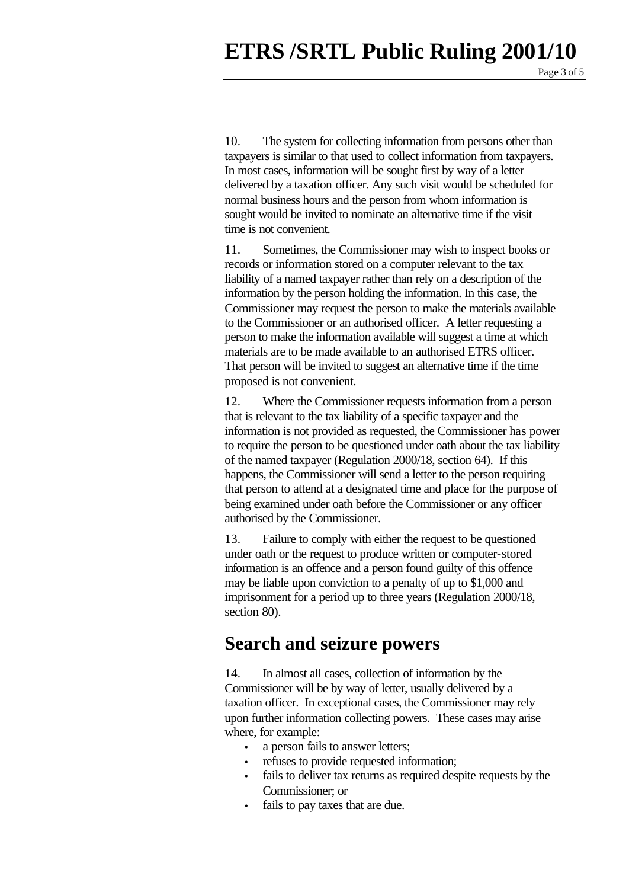Page 3 of  $\overline{5}$ 

10. The system for collecting information from persons other than taxpayers is similar to that used to collect information from taxpayers. In most cases, information will be sought first by way of a letter delivered by a taxation officer. Any such visit would be scheduled for normal business hours and the person from whom information is sought would be invited to nominate an alternative time if the visit time is not convenient.

11. Sometimes, the Commissioner may wish to inspect books or records or information stored on a computer relevant to the tax liability of a named taxpayer rather than rely on a description of the information by the person holding the information. In this case, the Commissioner may request the person to make the materials available to the Commissioner or an authorised officer. A letter requesting a person to make the information available will suggest a time at which materials are to be made available to an authorised ETRS officer. That person will be invited to suggest an alternative time if the time proposed is not convenient.

12. Where the Commissioner requests information from a person that is relevant to the tax liability of a specific taxpayer and the information is not provided as requested, the Commissioner has power to require the person to be questioned under oath about the tax liability of the named taxpayer (Regulation 2000/18, section 64). If this happens, the Commissioner will send a letter to the person requiring that person to attend at a designated time and place for the purpose of being examined under oath before the Commissioner or any officer authorised by the Commissioner.

13. Failure to comply with either the request to be questioned under oath or the request to produce written or computer-stored information is an offence and a person found guilty of this offence may be liable upon conviction to a penalty of up to \$1,000 and imprisonment for a period up to three years (Regulation 2000/18, section 80).

#### **Search and seizure powers**

14. In almost all cases, collection of information by the Commissioner will be by way of letter, usually delivered by a taxation officer. In exceptional cases, the Commissioner may rely upon further information collecting powers. These cases may arise where, for example:

- a person fails to answer letters;
- refuses to provide requested information;
- fails to deliver tax returns as required despite requests by the Commissioner; or
- fails to pay taxes that are due.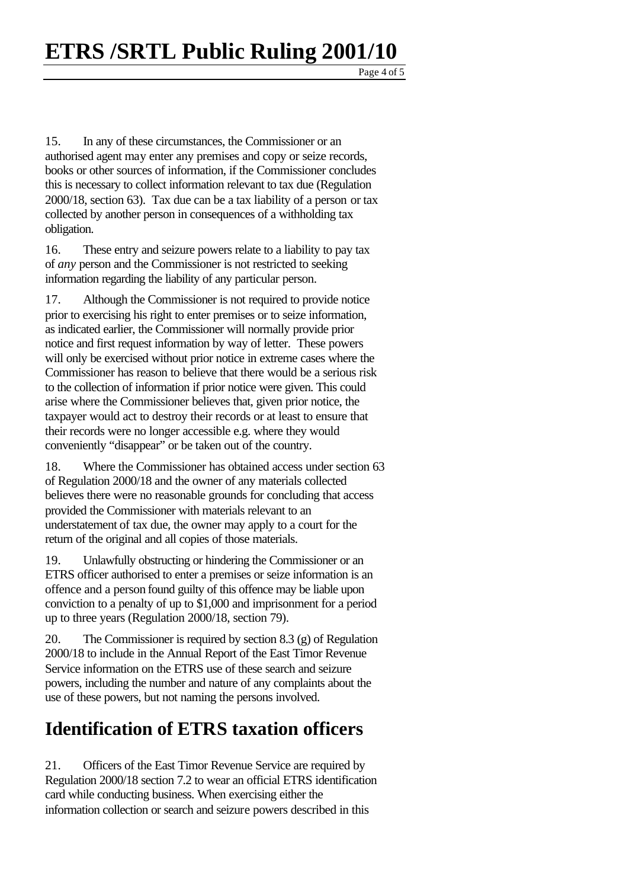Page  $4$  of  $\overline{5}$ 

15. In any of these circumstances, the Commissioner or an authorised agent may enter any premises and copy or seize records, books or other sources of information, if the Commissioner concludes this is necessary to collect information relevant to tax due (Regulation 2000/18, section 63). Tax due can be a tax liability of a person or tax collected by another person in consequences of a withholding tax obligation.

16. These entry and seizure powers relate to a liability to pay tax of *any* person and the Commissioner is not restricted to seeking information regarding the liability of any particular person.

17. Although the Commissioner is not required to provide notice prior to exercising his right to enter premises or to seize information, as indicated earlier, the Commissioner will normally provide prior notice and first request information by way of letter. These powers will only be exercised without prior notice in extreme cases where the Commissioner has reason to believe that there would be a serious risk to the collection of information if prior notice were given. This could arise where the Commissioner believes that, given prior notice, the taxpayer would act to destroy their records or at least to ensure that their records were no longer accessible e.g. where they would conveniently "disappear" or be taken out of the country.

18. Where the Commissioner has obtained access under section 63 of Regulation 2000/18 and the owner of any materials collected believes there were no reasonable grounds for concluding that access provided the Commissioner with materials relevant to an understatement of tax due, the owner may apply to a court for the return of the original and all copies of those materials.

19. Unlawfully obstructing or hindering the Commissioner or an ETRS officer authorised to enter a premises or seize information is an offence and a person found guilty of this offence may be liable upon conviction to a penalty of up to \$1,000 and imprisonment for a period up to three years (Regulation 2000/18, section 79).

20. The Commissioner is required by section 8.3 (g) of Regulation 2000/18 to include in the Annual Report of the East Timor Revenue Service information on the ETRS use of these search and seizure powers, including the number and nature of any complaints about the use of these powers, but not naming the persons involved.

### **Identification of ETRS taxation officers**

21. Officers of the East Timor Revenue Service are required by Regulation 2000/18 section 7.2 to wear an official ETRS identification card while conducting business. When exercising either the information collection or search and seizure powers described in this